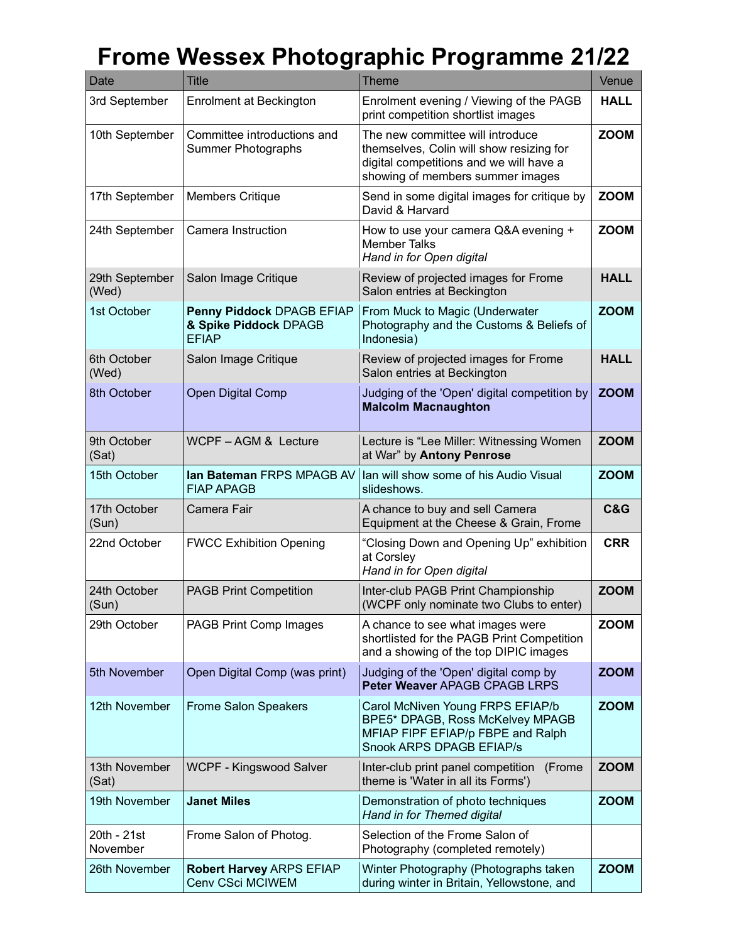## **Frome Wessex Photographic Programme 21/22**

| Date                    | <b>Title</b>                                                       | <b>Theme</b>                                                                                                                                                | Venue       |
|-------------------------|--------------------------------------------------------------------|-------------------------------------------------------------------------------------------------------------------------------------------------------------|-------------|
| 3rd September           | Enrolment at Beckington                                            | Enrolment evening / Viewing of the PAGB<br>print competition shortlist images                                                                               | <b>HALL</b> |
| 10th September          | Committee introductions and<br><b>Summer Photographs</b>           | The new committee will introduce<br>themselves, Colin will show resizing for<br>digital competitions and we will have a<br>showing of members summer images | <b>ZOOM</b> |
| 17th September          | <b>Members Critique</b>                                            | Send in some digital images for critique by<br>David & Harvard                                                                                              | <b>ZOOM</b> |
| 24th September          | Camera Instruction                                                 | How to use your camera Q&A evening +<br><b>Member Talks</b><br>Hand in for Open digital                                                                     | <b>ZOOM</b> |
| 29th September<br>(Wed) | Salon Image Critique                                               | Review of projected images for Frome<br>Salon entries at Beckington                                                                                         | <b>HALL</b> |
| 1st October             | Penny Piddock DPAGB EFIAP<br>& Spike Piddock DPAGB<br><b>EFIAP</b> | From Muck to Magic (Underwater<br>Photography and the Customs & Beliefs of<br>Indonesia)                                                                    | <b>ZOOM</b> |
| 6th October<br>(Wed)    | Salon Image Critique                                               | Review of projected images for Frome<br>Salon entries at Beckington                                                                                         | <b>HALL</b> |
| 8th October             | <b>Open Digital Comp</b>                                           | Judging of the 'Open' digital competition by<br><b>Malcolm Macnaughton</b>                                                                                  | <b>ZOOM</b> |
| 9th October<br>(Sat)    | WCPF-AGM & Lecture                                                 | Lecture is "Lee Miller: Witnessing Women<br>at War" by Antony Penrose                                                                                       | <b>ZOOM</b> |
| 15th October            | Ian Bateman FRPS MPAGB AV<br><b>FIAP APAGB</b>                     | Ian will show some of his Audio Visual<br>slideshows.                                                                                                       | <b>ZOOM</b> |
| 17th October<br>(Sun)   | Camera Fair                                                        | A chance to buy and sell Camera<br>Equipment at the Cheese & Grain, Frome                                                                                   | C&G         |
| 22nd October            | <b>FWCC Exhibition Opening</b>                                     | "Closing Down and Opening Up" exhibition<br>at Corsley<br>Hand in for Open digital                                                                          | <b>CRR</b>  |
| 24th October<br>(Sun)   | <b>PAGB Print Competition</b>                                      | Inter-club PAGB Print Championship<br>(WCPF only nominate two Clubs to enter)                                                                               | <b>ZOOM</b> |
| 29th October            | PAGB Print Comp Images                                             | A chance to see what images were<br>shortlisted for the PAGB Print Competition<br>and a showing of the top DIPIC images                                     | <b>ZOOM</b> |
| 5th November            | Open Digital Comp (was print)                                      | Judging of the 'Open' digital comp by<br>Peter Weaver APAGB CPAGB LRPS                                                                                      | <b>ZOOM</b> |
| 12th November           | <b>Frome Salon Speakers</b>                                        | Carol McNiven Young FRPS EFIAP/b<br>BPE5* DPAGB, Ross McKelvey MPAGB<br>MFIAP FIPF EFIAP/p FBPE and Ralph<br>Snook ARPS DPAGB EFIAP/s                       | <b>ZOOM</b> |
| 13th November<br>(Sat)  | <b>WCPF - Kingswood Salver</b>                                     | Inter-club print panel competition (Frome<br>theme is 'Water in all its Forms')                                                                             | <b>ZOOM</b> |
| 19th November           | <b>Janet Miles</b>                                                 | Demonstration of photo techniques<br>Hand in for Themed digital                                                                                             | <b>ZOOM</b> |
| 20th - 21st<br>November | Frome Salon of Photog.                                             | Selection of the Frome Salon of<br>Photography (completed remotely)                                                                                         |             |
| 26th November           | <b>Robert Harvey ARPS EFIAP</b><br>Cenv CSci MCIWEM                | Winter Photography (Photographs taken<br>during winter in Britain, Yellowstone, and                                                                         | <b>ZOOM</b> |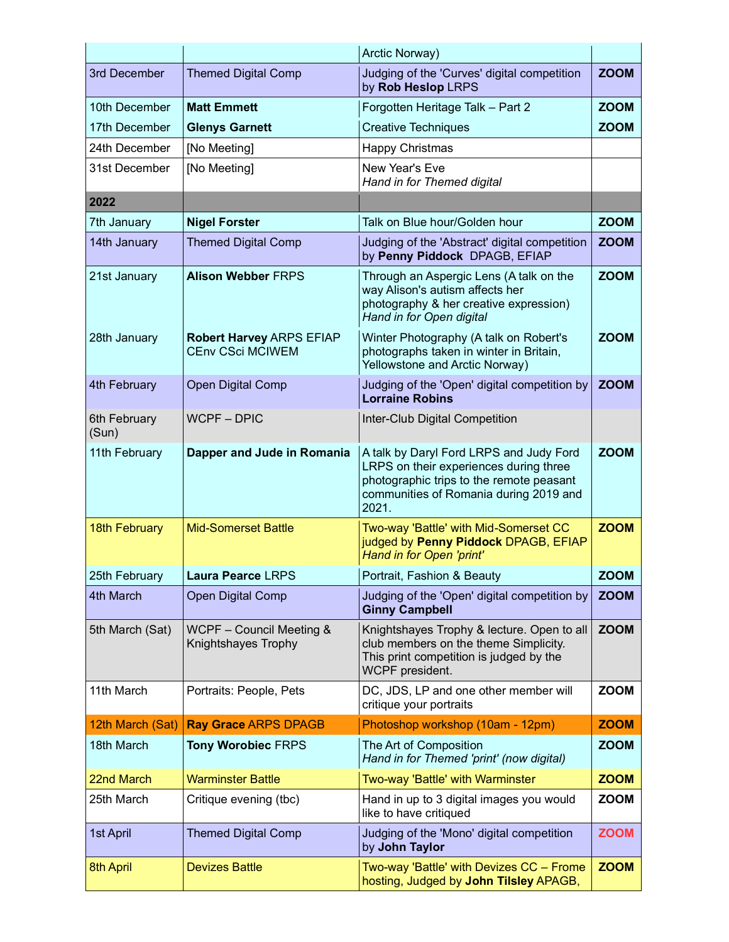|                       |                                                            | Arctic Norway)                                                                                                                                                                   |             |
|-----------------------|------------------------------------------------------------|----------------------------------------------------------------------------------------------------------------------------------------------------------------------------------|-------------|
| 3rd December          | <b>Themed Digital Comp</b>                                 | Judging of the 'Curves' digital competition<br>by Rob Heslop LRPS                                                                                                                | <b>ZOOM</b> |
| 10th December         | <b>Matt Emmett</b>                                         | Forgotten Heritage Talk - Part 2                                                                                                                                                 | <b>ZOOM</b> |
| 17th December         | <b>Glenys Garnett</b>                                      | <b>Creative Techniques</b>                                                                                                                                                       | <b>ZOOM</b> |
| 24th December         | [No Meeting]                                               | Happy Christmas                                                                                                                                                                  |             |
| 31st December         | [No Meeting]                                               | New Year's Eve<br>Hand in for Themed digital                                                                                                                                     |             |
| 2022                  |                                                            |                                                                                                                                                                                  |             |
| 7th January           | <b>Nigel Forster</b>                                       | Talk on Blue hour/Golden hour                                                                                                                                                    | <b>ZOOM</b> |
| 14th January          | <b>Themed Digital Comp</b>                                 | Judging of the 'Abstract' digital competition<br>by Penny Piddock DPAGB, EFIAP                                                                                                   | <b>ZOOM</b> |
| 21st January          | <b>Alison Webber FRPS</b>                                  | Through an Aspergic Lens (A talk on the<br>way Alison's autism affects her<br>photography & her creative expression)<br>Hand in for Open digital                                 | <b>ZOOM</b> |
| 28th January          | <b>Robert Harvey ARPS EFIAP</b><br><b>CEnv CSci MCIWEM</b> | Winter Photography (A talk on Robert's<br>photographs taken in winter in Britain,<br>Yellowstone and Arctic Norway)                                                              | <b>ZOOM</b> |
| 4th February          | <b>Open Digital Comp</b>                                   | Judging of the 'Open' digital competition by<br><b>Lorraine Robins</b>                                                                                                           | <b>ZOOM</b> |
| 6th February<br>(Sun) | <b>WCPF-DPIC</b>                                           | Inter-Club Digital Competition                                                                                                                                                   |             |
| 11th February         | Dapper and Jude in Romania                                 | A talk by Daryl Ford LRPS and Judy Ford<br>LRPS on their experiences during three<br>photographic trips to the remote peasant<br>communities of Romania during 2019 and<br>2021. | <b>ZOOM</b> |
| <b>18th February</b>  | <b>Mid-Somerset Battle</b>                                 | Two-way 'Battle' with Mid-Somerset CC<br>judged by Penny Piddock DPAGB, EFIAP<br>Hand in for Open 'print'                                                                        | <b>ZOOM</b> |
| 25th February         | Laura Pearce LRPS                                          | Portrait, Fashion & Beauty                                                                                                                                                       | <b>ZOOM</b> |
| 4th March             | <b>Open Digital Comp</b>                                   | Judging of the 'Open' digital competition by<br><b>Ginny Campbell</b>                                                                                                            | <b>ZOOM</b> |
| 5th March (Sat)       | WCPF - Council Meeting &<br>Knightshayes Trophy            | Knightshayes Trophy & lecture. Open to all<br>club members on the theme Simplicity.<br>This print competition is judged by the<br>WCPF president.                                | <b>ZOOM</b> |
| 11th March            | Portraits: People, Pets                                    | DC, JDS, LP and one other member will<br>critique your portraits                                                                                                                 | <b>ZOOM</b> |
| 12th March (Sat)      | <b>Ray Grace ARPS DPAGB</b>                                | Photoshop workshop (10am - 12pm)                                                                                                                                                 | <b>ZOOM</b> |
| 18th March            | <b>Tony Worobiec FRPS</b>                                  | The Art of Composition<br>Hand in for Themed 'print' (now digital)                                                                                                               | <b>ZOOM</b> |
| 22nd March            | <b>Warminster Battle</b>                                   | Two-way 'Battle' with Warminster                                                                                                                                                 | <b>ZOOM</b> |
| 25th March            | Critique evening (tbc)                                     | Hand in up to 3 digital images you would<br>like to have critiqued                                                                                                               | <b>ZOOM</b> |
| 1st April             | <b>Themed Digital Comp</b>                                 | Judging of the 'Mono' digital competition<br>by John Taylor                                                                                                                      | <b>ZOOM</b> |
| 8th April             | <b>Devizes Battle</b>                                      | Two-way 'Battle' with Devizes CC - Frome<br>hosting, Judged by John Tilsley APAGB,                                                                                               | <b>ZOOM</b> |